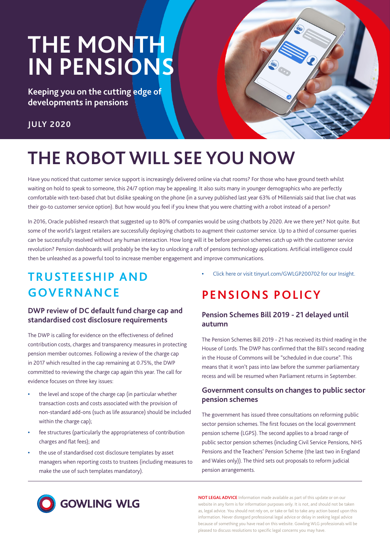# **THE MONTH IN PENSIONS**

**Keeping you on the cutting edge of developments in pensions**

### **JULY 2020**



## **THE ROBOT WILL SEE YOU NOW**

Have you noticed that customer service support is increasingly delivered online via chat rooms? For those who have ground teeth whilst waiting on hold to speak to someone, this 24/7 option may be appealing. It also suits many in younger demographics who are perfectly comfortable with text-based chat but dislike speaking on the phone (in a survey published last year 63% of Millennials said that live chat was their go-to customer service option). But how would you feel if you knew that you were chatting with a robot instead of a person?

In 2016, Oracle published research that suggested up to 80% of companies would be using chatbots by 2020. Are we there yet? Not quite. But some of the world's largest retailers are successfully deploying chatbots to augment their customer service. Up to a third of consumer queries can be successfully resolved without any human interaction. How long will it be before pension schemes catch up with the customer service revolution? Pension dashboards will probably be the key to unlocking a raft of pensions technology applications. Artificial intelligence could then be unleashed as a powerful tool to increase member engagement and improve communications.

### **TRUSTEESHIP AND GOVERNANCE**

#### **DWP review of DC default fund charge cap and standardised cost disclosure requirements**

The DWP is calling for evidence on the effectiveness of defined contribution costs, charges and transparency measures in protecting pension member outcomes. Following a review of the charge cap in 2017 which resulted in the cap remaining at 0.75%, the DWP committed to reviewing the charge cap again this year. The call for evidence focuses on three key issues:

- **•** the level and scope of the charge cap (in particular whether transaction costs and costs associated with the provision of non-standard add-ons (such as life assurance) should be included within the charge cap);
- **•** fee structures (particularly the appropriateness of contribution charges and flat fees); and
- **•** the use of standardised cost disclosure templates by asset managers when reporting costs to trustees (including measures to make the use of such templates mandatory).

**•** [Click here or visit tinyurl.com/](https://gowlingwlg.com/en/insights-resources/articles/2020/dwp-kicks-off-charge-cap-review/)GWLGP200702 for our Insight.

### **PENSIONS POLICY**

#### **Pension Schemes Bill 2019 - 21 delayed until autumn**

The Pension Schemes Bill 2019 - 21 has received its third reading in the House of Lords. The DWP has confirmed that the Bill's second reading in the House of Commons will be "scheduled in due course". This means that it won't pass into law before the summer parliamentary recess and will be resumed when Parliament returns in September.

#### **Government consults on changes to public sector pension schemes**

The government has issued three consultations on reforming public sector pension schemes. The first focuses on the local government pension scheme (LGPS). The second applies to a broad range of public sector pension schemes (including Civil Service Pensions, NHS Pensions and the Teachers' Pension Scheme (the last two in England and Wales only)). The third sets out proposals to reform judicial pension arrangements.



**NOT LEGAL ADVICE** Information made available as part of this update or on our website in any form is for information purposes only. It is not, and should not be taken as, legal advice. You should not rely on, or take or fail to take any action based upon this information. Never disregard professional legal advice or delay in seeking legal advice [because of something you have read on this website. Gowling WLG professionals will be](http://www.gowlingwlg.com/pensions-uk)  pleased to discuss resolutions to specific legal concerns you may have.